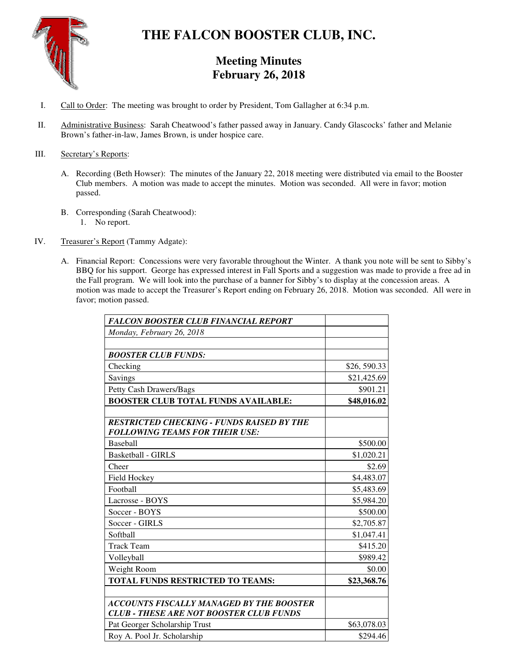

# **THE FALCON BOOSTER CLUB, INC.**

# **Meeting Minutes February 26, 2018**

- I. Call to Order: The meeting was brought to order by President, Tom Gallagher at 6:34 p.m.
- II. Administrative Business: Sarah Cheatwood's father passed away in January. Candy Glascocks' father and Melanie Brown's father-in-law, James Brown, is under hospice care.

# III. Secretary's Reports:

- A. Recording (Beth Howser): The minutes of the January 22, 2018 meeting were distributed via email to the Booster Club members. A motion was made to accept the minutes. Motion was seconded. All were in favor; motion passed.
- B. Corresponding (Sarah Cheatwood): 1. No report.
- IV. Treasurer's Report (Tammy Adgate):
	- A. Financial Report: Concessions were very favorable throughout the Winter. A thank you note will be sent to Sibby's BBQ for his support. George has expressed interest in Fall Sports and a suggestion was made to provide a free ad in the Fall program. We will look into the purchase of a banner for Sibby's to display at the concession areas. A motion was made to accept the Treasurer's Report ending on February 26, 2018. Motion was seconded. All were in favor; motion passed.

| <b>FALCON BOOSTER CLUB FINANCIAL REPORT</b>                                                |              |
|--------------------------------------------------------------------------------------------|--------------|
| Monday, February 26, 2018                                                                  |              |
|                                                                                            |              |
| <b>BOOSTER CLUB FUNDS:</b>                                                                 |              |
| Checking                                                                                   | \$26, 590.33 |
| Savings                                                                                    | \$21,425.69  |
| Petty Cash Drawers/Bags                                                                    | \$901.21     |
| <b>BOOSTER CLUB TOTAL FUNDS AVAILABLE:</b>                                                 | \$48,016.02  |
| <b>RESTRICTED CHECKING - FUNDS RAISED BY THE</b><br><b>FOLLOWING TEAMS FOR THEIR USE:</b>  |              |
| <b>Baseball</b>                                                                            | \$500.00     |
| <b>Basketball - GIRLS</b>                                                                  | \$1,020.21   |
| Cheer                                                                                      | \$2.69       |
| Field Hockey                                                                               | \$4,483.07   |
| Football                                                                                   | \$5,483.69   |
| Lacrosse - BOYS                                                                            | \$5,984.20   |
| Soccer - BOYS                                                                              | \$500.00     |
| Soccer - GIRLS                                                                             | \$2,705.87   |
| Softball                                                                                   | \$1,047.41   |
| <b>Track Team</b>                                                                          | \$415.20     |
| Volleyball                                                                                 | \$989.42     |
| Weight Room                                                                                | \$0.00       |
| TOTAL FUNDS RESTRICTED TO TEAMS:                                                           | \$23,368.76  |
| ACCOUNTS FISCALLY MANAGED BY THE BOOSTER<br><b>CLUB - THESE ARE NOT BOOSTER CLUB FUNDS</b> |              |
| Pat Georger Scholarship Trust                                                              | \$63,078.03  |
| Roy A. Pool Jr. Scholarship                                                                | \$294.46     |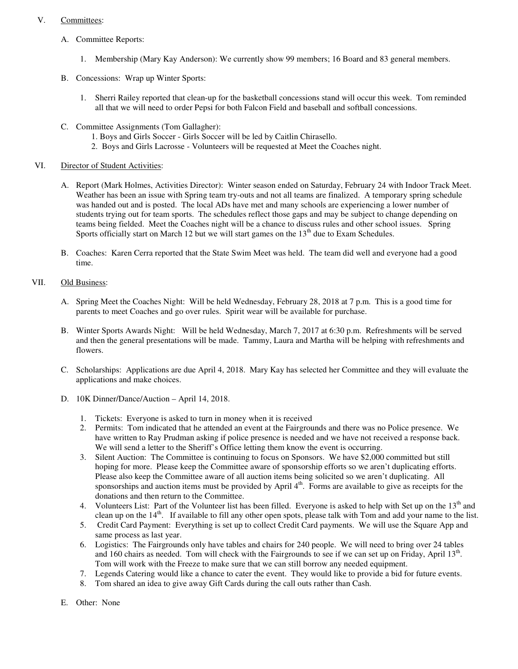#### V. Committees:

- A. Committee Reports:
	- 1. Membership (Mary Kay Anderson): We currently show 99 members; 16 Board and 83 general members.
- B. Concessions: Wrap up Winter Sports:
	- 1. Sherri Railey reported that clean-up for the basketball concessions stand will occur this week. Tom reminded all that we will need to order Pepsi for both Falcon Field and baseball and softball concessions.
- C. Committee Assignments (Tom Gallagher):
	- 1. Boys and Girls Soccer Girls Soccer will be led by Caitlin Chirasello.
	- 2. Boys and Girls Lacrosse Volunteers will be requested at Meet the Coaches night.

#### VI. Director of Student Activities:

- A. Report (Mark Holmes, Activities Director): Winter season ended on Saturday, February 24 with Indoor Track Meet. Weather has been an issue with Spring team try-outs and not all teams are finalized. A temporary spring schedule was handed out and is posted. The local ADs have met and many schools are experiencing a lower number of students trying out for team sports. The schedules reflect those gaps and may be subject to change depending on teams being fielded. Meet the Coaches night will be a chance to discuss rules and other school issues. Spring Sports officially start on March 12 but we will start games on the  $13<sup>th</sup>$  due to Exam Schedules.
- B. Coaches: Karen Cerra reported that the State Swim Meet was held. The team did well and everyone had a good time.

# VII. Old Business:

- A. Spring Meet the Coaches Night: Will be held Wednesday, February 28, 2018 at 7 p.m. This is a good time for parents to meet Coaches and go over rules. Spirit wear will be available for purchase.
- B. Winter Sports Awards Night: Will be held Wednesday, March 7, 2017 at 6:30 p.m. Refreshments will be served and then the general presentations will be made. Tammy, Laura and Martha will be helping with refreshments and flowers.
- C. Scholarships: Applications are due April 4, 2018. Mary Kay has selected her Committee and they will evaluate the applications and make choices.
- D. 10K Dinner/Dance/Auction April 14, 2018.
	- 1. Tickets: Everyone is asked to turn in money when it is received
	- 2. Permits: Tom indicated that he attended an event at the Fairgrounds and there was no Police presence. We have written to Ray Prudman asking if police presence is needed and we have not received a response back. We will send a letter to the Sheriff's Office letting them know the event is occurring.
	- 3. Silent Auction: The Committee is continuing to focus on Sponsors. We have \$2,000 committed but still hoping for more. Please keep the Committee aware of sponsorship efforts so we aren't duplicating efforts. Please also keep the Committee aware of all auction items being solicited so we aren't duplicating. All sponsorships and auction items must be provided by April 4<sup>th</sup>. Forms are available to give as receipts for the donations and then return to the Committee.
	- 4. Volunteers List: Part of the Volunteer list has been filled. Everyone is asked to help with Set up on the  $13<sup>th</sup>$  and clean up on the  $14<sup>th</sup>$ . If available to fill any other open spots, please talk with Tom and add your name to the list.
	- 5. Credit Card Payment: Everything is set up to collect Credit Card payments. We will use the Square App and same process as last year.
	- 6. Logistics: The Fairgrounds only have tables and chairs for 240 people. We will need to bring over 24 tables and 160 chairs as needed. Tom will check with the Fairgrounds to see if we can set up on Friday, April 13<sup>th</sup>. Tom will work with the Freeze to make sure that we can still borrow any needed equipment.
	- 7. Legends Catering would like a chance to cater the event. They would like to provide a bid for future events.
	- 8. Tom shared an idea to give away Gift Cards during the call outs rather than Cash.
- E. Other: None